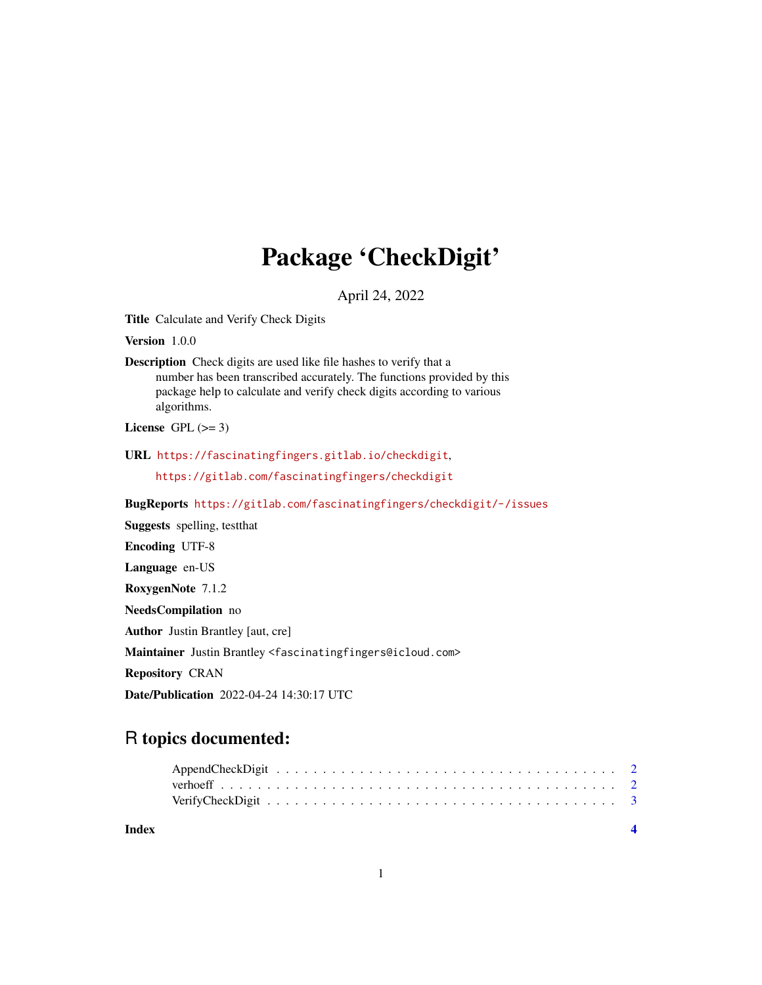## Package 'CheckDigit'

April 24, 2022

Title Calculate and Verify Check Digits

Version 1.0.0

Description Check digits are used like file hashes to verify that a number has been transcribed accurately. The functions provided by this package help to calculate and verify check digits according to various algorithms.

License GPL  $(>= 3)$ 

URL <https://fascinatingfingers.gitlab.io/checkdigit>,

<https://gitlab.com/fascinatingfingers/checkdigit>

BugReports <https://gitlab.com/fascinatingfingers/checkdigit/-/issues>

Suggests spelling, testthat

Encoding UTF-8

Language en-US

RoxygenNote 7.1.2

NeedsCompilation no

Author Justin Brantley [aut, cre]

Maintainer Justin Brantley <fascinatingfingers@icloud.com>

Repository CRAN

Date/Publication 2022-04-24 14:30:17 UTC

### R topics documented:

| Index |  |
|-------|--|
|       |  |
|       |  |
|       |  |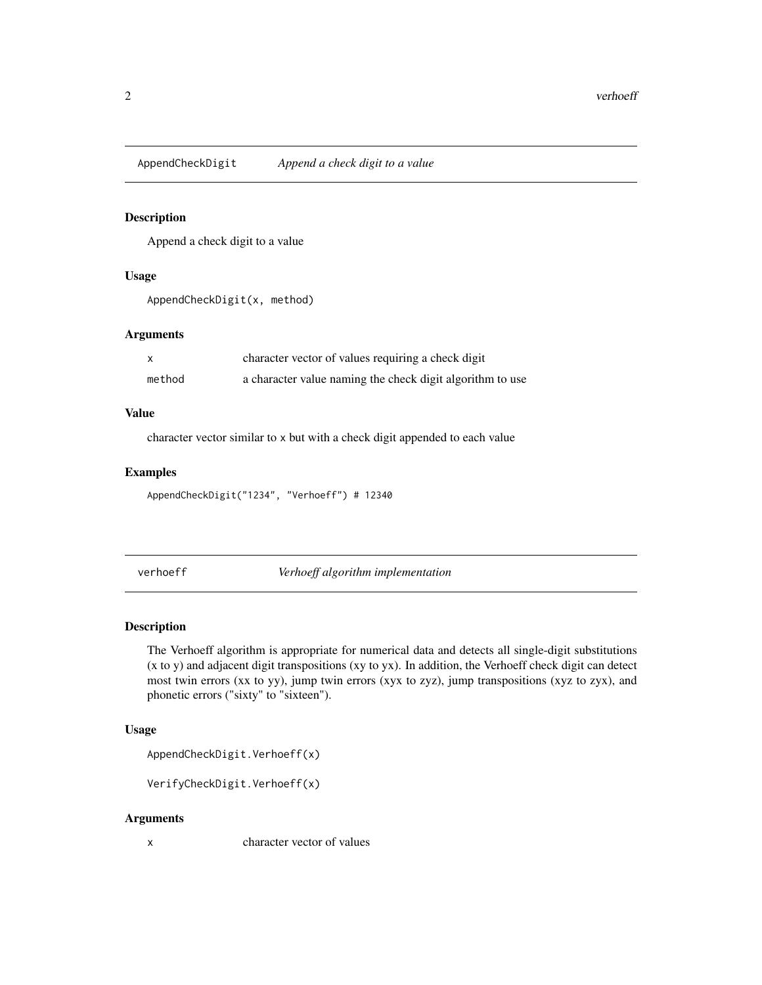<span id="page-1-0"></span>AppendCheckDigit *Append a check digit to a value*

#### Description

Append a check digit to a value

#### Usage

AppendCheckDigit(x, method)

#### Arguments

|        | character vector of values requiring a check digit        |
|--------|-----------------------------------------------------------|
| method | a character value naming the check digit algorithm to use |

#### Value

character vector similar to x but with a check digit appended to each value

#### Examples

AppendCheckDigit("1234", "Verhoeff") # 12340

verhoeff *Verhoeff algorithm implementation*

#### Description

The Verhoeff algorithm is appropriate for numerical data and detects all single-digit substitutions (x to y) and adjacent digit transpositions (xy to yx). In addition, the Verhoeff check digit can detect most twin errors (xx to yy), jump twin errors (xyx to zyz), jump transpositions (xyz to zyx), and phonetic errors ("sixty" to "sixteen").

#### Usage

```
AppendCheckDigit.Verhoeff(x)
```

```
VerifyCheckDigit.Verhoeff(x)
```
#### Arguments

x character vector of values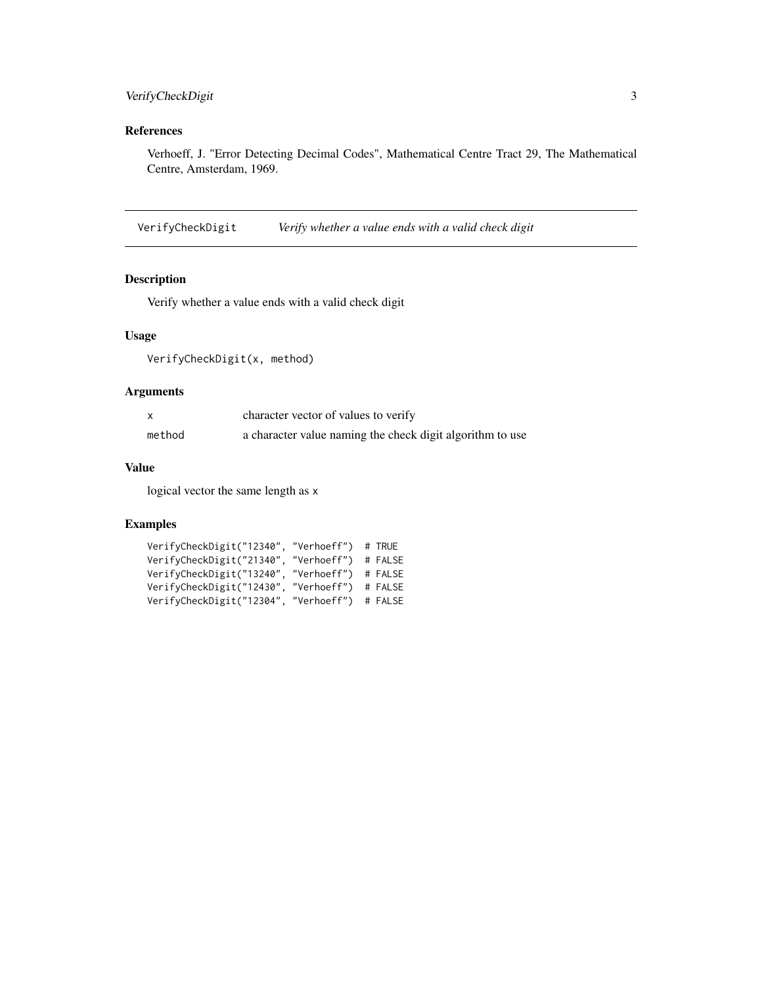#### <span id="page-2-0"></span>VerifyCheckDigit 3

#### References

Verhoeff, J. "Error Detecting Decimal Codes", Mathematical Centre Tract 29, The Mathematical Centre, Amsterdam, 1969.

VerifyCheckDigit *Verify whether a value ends with a valid check digit*

#### Description

Verify whether a value ends with a valid check digit

#### Usage

VerifyCheckDigit(x, method)

#### Arguments

|        | character vector of values to verify                      |
|--------|-----------------------------------------------------------|
| method | a character value naming the check digit algorithm to use |

#### Value

logical vector the same length as x

#### Examples

```
VerifyCheckDigit("12340", "Verhoeff") # TRUE
VerifyCheckDigit("21340", "Verhoeff") # FALSE
VerifyCheckDigit("13240", "Verhoeff") # FALSE
VerifyCheckDigit("12430", "Verhoeff") # FALSE
VerifyCheckDigit("12304", "Verhoeff") # FALSE
```